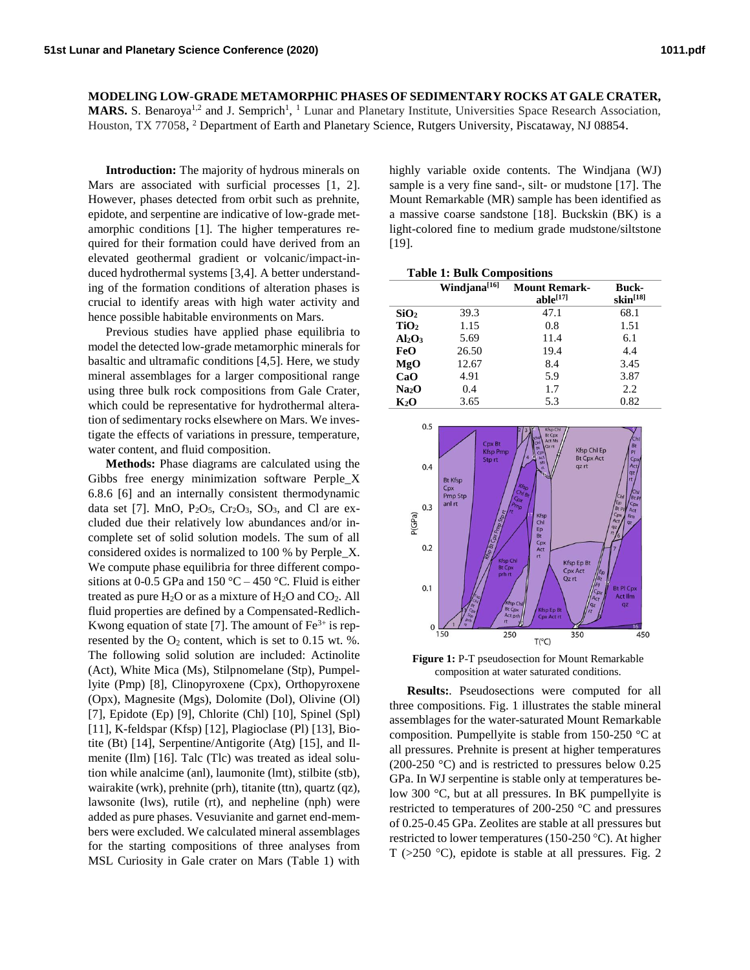**MODELING LOW-GRADE METAMORPHIC PHASES OF SEDIMENTARY ROCKS AT GALE CRATER, MARS.** S. Benaroya<sup>1,2</sup> and J. Semprich<sup>1</sup>, <sup>1</sup> Lunar and Planetary Institute, Universities Space Research Association, Houston, TX 77058, <sup>2</sup> Department of Earth and Planetary Science, Rutgers University, Piscataway, NJ 08854.

**Introduction:** The majority of hydrous minerals on Mars are associated with surficial processes [1, 2]. However, phases detected from orbit such as prehnite, epidote, and serpentine are indicative of low-grade metamorphic conditions [1]. The higher temperatures required for their formation could have derived from an elevated geothermal gradient or volcanic/impact-induced hydrothermal systems [3,4]. A better understanding of the formation conditions of alteration phases is crucial to identify areas with high water activity and hence possible habitable environments on Mars.

Previous studies have applied phase equilibria to model the detected low-grade metamorphic minerals for basaltic and ultramafic conditions [4,5]. Here, we study mineral assemblages for a larger compositional range using three bulk rock compositions from Gale Crater, which could be representative for hydrothermal alteration of sedimentary rocks elsewhere on Mars. We investigate the effects of variations in pressure, temperature, water content, and fluid composition.

**Methods:** Phase diagrams are calculated using the Gibbs free energy minimization software Perple\_X 6.8.6 [6] and an internally consistent thermodynamic data set [7]. MnO,  $P_2O_5$ ,  $Cr_2O_3$ ,  $SO_3$ , and Cl are excluded due their relatively low abundances and/or incomplete set of solid solution models. The sum of all considered oxides is normalized to 100 % by Perple\_X. We compute phase equilibria for three different compositions at 0-0.5 GPa and 150 °C – 450 °C. Fluid is either treated as pure  $H_2O$  or as a mixture of  $H_2O$  and  $CO_2$ . All fluid properties are defined by a Compensated-Redlich-Kwong equation of state [7]. The amount of  $Fe<sup>3+</sup>$  is represented by the  $O_2$  content, which is set to 0.15 wt. %. The following solid solution are included: Actinolite (Act), White Mica (Ms), Stilpnomelane (Stp), Pumpellyite (Pmp) [8], Clinopyroxene (Cpx), Orthopyroxene (Opx), Magnesite (Mgs), Dolomite (Dol), Olivine (Ol) [7], Epidote (Ep) [9], Chlorite (Chl) [10], Spinel (Spl) [11], K-feldspar (Kfsp) [12], Plagioclase (Pl) [13], Biotite (Bt) [14], Serpentine/Antigorite (Atg) [15], and Ilmenite (Ilm) [16]. Talc (Tlc) was treated as ideal solution while analcime (anl), laumonite (lmt), stilbite (stb), wairakite (wrk), prehnite (prh), titanite (ttn), quartz (qz), lawsonite (lws), rutile (rt), and nepheline (nph) were added as pure phases. Vesuvianite and garnet end-members were excluded. We calculated mineral assemblages for the starting compositions of three analyses from MSL Curiosity in Gale crater on Mars (Table 1) with highly variable oxide contents. The Windjana (WJ) sample is a very fine sand-, silt- or mudstone [17]. The Mount Remarkable (MR) sample has been identified as a massive coarse sandstone [18]. Buckskin (BK) is a light-colored fine to medium grade mudstone/siltstone [19].

| <b>Table 1: Bulk Compositions</b> |                          |                                       |                        |
|-----------------------------------|--------------------------|---------------------------------------|------------------------|
|                                   | Windjana <sup>[16]</sup> | <b>Mount Remark-</b><br>$able^{[17]}$ | Buck-<br>$skin^{[18]}$ |
| SiO <sub>2</sub>                  | 39.3                     | 47.1                                  | 68.1                   |
| TiO <sub>2</sub>                  | 1.15                     | 0.8                                   | 1.51                   |
| $Al_2O_3$                         | 5.69                     | 11.4                                  | 6.1                    |
| FeO                               | 26.50                    | 19.4                                  | 4.4                    |
| MgO                               | 12.67                    | 8.4                                   | 3.45                   |
| CaO                               | 4.91                     | 5.9                                   | 3.87                   |
| Na2O                              | 0.4                      | 1.7                                   | 2.2                    |
| $\mathbf{K}_2\mathbf{O}$          | 3.65                     | 5.3                                   | 0.82                   |



**Figure 1:** P-T pseudosection for Mount Remarkable composition at water saturated conditions.

**Results:***.* Pseudosections were computed for all three compositions. Fig. 1 illustrates the stable mineral assemblages for the water-saturated Mount Remarkable composition. Pumpellyite is stable from 150-250 °C at all pressures. Prehnite is present at higher temperatures (200-250 °C) and is restricted to pressures below 0.25 GPa. In WJ serpentine is stable only at temperatures below 300 °C, but at all pressures. In BK pumpellyite is restricted to temperatures of 200-250 °C and pressures of 0.25-0.45 GPa. Zeolites are stable at all pressures but restricted to lower temperatures (150-250 °C). At higher T (>250 C), epidote is stable at all pressures*.* Fig. 2